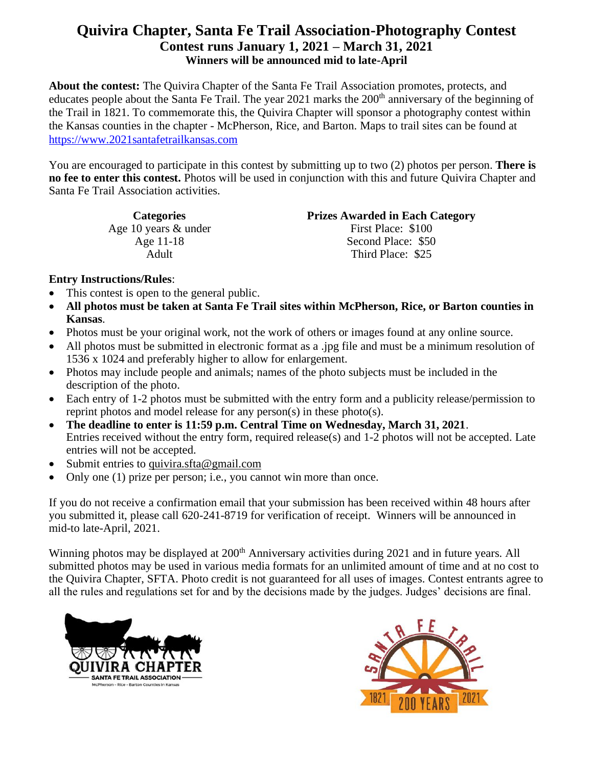**About the contest:** The Quivira Chapter of the Santa Fe Trail Association promotes, protects, and educates people about the Santa Fe Trail. The year  $2021$  marks the  $200<sup>th</sup>$  anniversary of the beginning of the Trail in 1821. To commemorate this, the Quivira Chapter will sponsor a photography contest within the Kansas counties in the chapter - McPherson, Rice, and Barton. Maps to trail sites can be found at [https://www.2021santafetrailkansas.com](https://www.2021santafetrailkansas.com/)

You are encouraged to participate in this contest by submitting up to two (2) photos per person. **There is no fee to enter this contest.** Photos will be used in conjunction with this and future Quivira Chapter and Santa Fe Trail Association activities.

> Age 10 years & under First Place: \$100 Age 11-18 Adult

**Categories Prizes Awarded in Each Category**

Second Place: \$50 Third Place: \$25

### **Entry Instructions/Rules**:

- This contest is open to the general public.
- **All photos must be taken at Santa Fe Trail sites within McPherson, Rice, or Barton counties in Kansas**.
- Photos must be your original work, not the work of others or images found at any online source.
- All photos must be submitted in electronic format as a .jpg file and must be a minimum resolution of 1536 x 1024 and preferably higher to allow for enlargement.
- Photos may include people and animals; names of the photo subjects must be included in the description of the photo.
- Each entry of 1-2 photos must be submitted with the entry form and a publicity release/permission to reprint photos and model release for any person(s) in these photo(s).
- **The deadline to enter is 11:59 p.m. Central Time on Wednesday, March 31, 2021**. Entries received without the entry form, required release(s) and 1-2 photos will not be accepted. Late entries will not be accepted.
- Submit entries to [quivira.sfta@gmail.com](mailto:quivira.sfta@gmail.com)
- Only one (1) prize per person; i.e., you cannot win more than once.

If you do not receive a confirmation email that your submission has been received within 48 hours after you submitted it, please call 620-241-8719 for verification of receipt. Winners will be announced in mid-to late-April, 2021.

Winning photos may be displayed at 200<sup>th</sup> Anniversary activities during 2021 and in future years. All submitted photos may be used in various media formats for an unlimited amount of time and at no cost to the Quivira Chapter, SFTA. Photo credit is not guaranteed for all uses of images. Contest entrants agree to all the rules and regulations set for and by the decisions made by the judges. Judges' decisions are final.



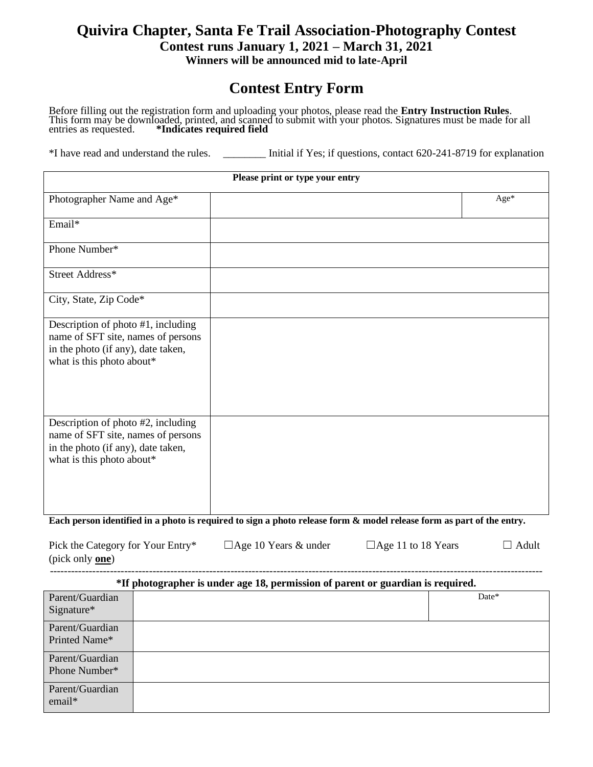# **Contest Entry Form**

Before filling out the registration form and uploading your photos, please read the **Entry Instruction Rules**. This form may be downloaded, printed, and scanned to submit with your photos. Signatures must be made for all entries as requested. **\*Indicates required field**

\*I have read and understand the rules. \_\_\_\_\_\_\_\_ Initial if Yes; if questions, contact 620-241-8719 for explanation

| Please print or type your entry                                                                                                             |  |      |  |  |
|---------------------------------------------------------------------------------------------------------------------------------------------|--|------|--|--|
| Photographer Name and Age*                                                                                                                  |  | Age* |  |  |
| Email*                                                                                                                                      |  |      |  |  |
| Phone Number*                                                                                                                               |  |      |  |  |
| Street Address*                                                                                                                             |  |      |  |  |
| City, State, Zip Code*                                                                                                                      |  |      |  |  |
| Description of photo #1, including<br>name of SFT site, names of persons<br>in the photo (if any), date taken,<br>what is this photo about* |  |      |  |  |
| Description of photo #2, including<br>name of SFT site, names of persons<br>in the photo (if any), date taken,<br>what is this photo about* |  |      |  |  |

**Each person identified in a photo is required to sign a photo release form & model release form as part of the entry.**

| Pick the Category for Your Entry* | $\Box$ Age 10 Years & under | $\Box$ Age 11 to 18 Years | ⊔ Adult - |
|-----------------------------------|-----------------------------|---------------------------|-----------|
| (pick only <b>one</b> )           |                             |                           |           |
|                                   |                             |                           |           |

#### **\*If photographer is under age 18, permission of parent or guardian is required.**

|                               | ີ | $\tilde{}$<br>. <b>.</b> | - | $\tilde{}$ | -     |
|-------------------------------|---|--------------------------|---|------------|-------|
| Parent/Guardian<br>Signature* |   |                          |   |            | Date* |
| Parent/Guardian               |   |                          |   |            |       |
|                               |   |                          |   |            |       |
| Printed Name*                 |   |                          |   |            |       |
| Parent/Guardian               |   |                          |   |            |       |
| Phone Number*                 |   |                          |   |            |       |
|                               |   |                          |   |            |       |
| Parent/Guardian               |   |                          |   |            |       |
| email*                        |   |                          |   |            |       |
|                               |   |                          |   |            |       |
|                               |   |                          |   |            |       |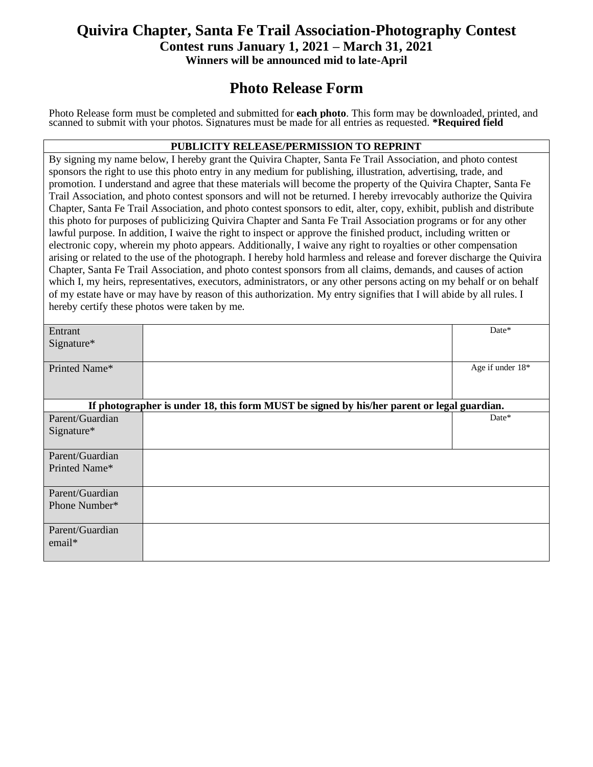## **Photo Release Form**

Photo Release form must be completed and submitted for **each photo**. This form may be downloaded, printed, and scanned to submit with your photos. Signatures must be made for all entries as requested. **\*Required field** 

#### **PUBLICITY RELEASE/PERMISSION TO REPRINT**

By signing my name below, I hereby grant the Quivira Chapter, Santa Fe Trail Association, and photo contest sponsors the right to use this photo entry in any medium for publishing, illustration, advertising, trade, and promotion. I understand and agree that these materials will become the property of the Quivira Chapter, Santa Fe Trail Association, and photo contest sponsors and will not be returned. I hereby irrevocably authorize the Quivira Chapter, Santa Fe Trail Association, and photo contest sponsors to edit, alter, copy, exhibit, publish and distribute this photo for purposes of publicizing Quivira Chapter and Santa Fe Trail Association programs or for any other lawful purpose. In addition, I waive the right to inspect or approve the finished product, including written or electronic copy, wherein my photo appears. Additionally, I waive any right to royalties or other compensation arising or related to the use of the photograph. I hereby hold harmless and release and forever discharge the Quivira Chapter, Santa Fe Trail Association, and photo contest sponsors from all claims, demands, and causes of action which I, my heirs, representatives, executors, administrators, or any other persons acting on my behalf or on behalf of my estate have or may have by reason of this authorization. My entry signifies that I will abide by all rules. I hereby certify these photos were taken by me.

| Entrant         |                                                                                            | Date*            |
|-----------------|--------------------------------------------------------------------------------------------|------------------|
| Signature*      |                                                                                            |                  |
|                 |                                                                                            |                  |
| Printed Name*   |                                                                                            | Age if under 18* |
|                 |                                                                                            |                  |
|                 |                                                                                            |                  |
|                 |                                                                                            |                  |
|                 | If photographer is under 18, this form MUST be signed by his/her parent or legal guardian. |                  |
| Parent/Guardian |                                                                                            | Date*            |
| $Sigma^*$       |                                                                                            |                  |
|                 |                                                                                            |                  |
| Parent/Guardian |                                                                                            |                  |
| Printed Name*   |                                                                                            |                  |
|                 |                                                                                            |                  |
|                 |                                                                                            |                  |
| Parent/Guardian |                                                                                            |                  |
| Phone Number*   |                                                                                            |                  |
|                 |                                                                                            |                  |
| Parent/Guardian |                                                                                            |                  |
| email*          |                                                                                            |                  |
|                 |                                                                                            |                  |
|                 |                                                                                            |                  |